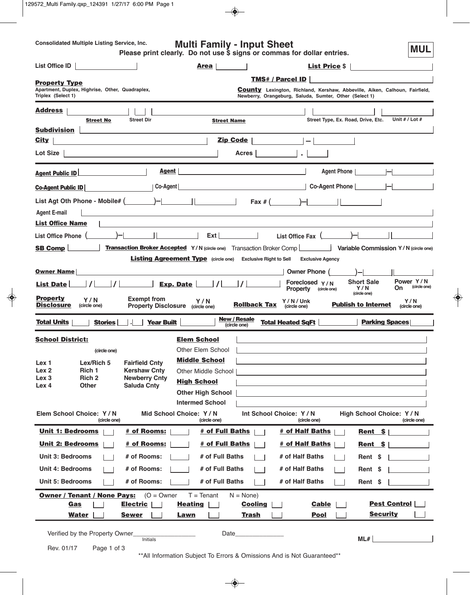| <b>Consolidated Multiple Listing Service, Inc.</b><br><b>Multi Family - Input Sheet</b><br><b>MUL</b><br>Please print clearly. Do not use \$ signs or commas for dollar entries. |                                                                                                                                                                 |  |
|----------------------------------------------------------------------------------------------------------------------------------------------------------------------------------|-----------------------------------------------------------------------------------------------------------------------------------------------------------------|--|
| <b>List Office ID</b>                                                                                                                                                            | <b>List Price \$</b><br><b>Area</b>                                                                                                                             |  |
| <b>Property Type</b><br>Apartment, Duplex, Highrise, Other, Quadraplex,<br>Triplex (Select 1)                                                                                    | TMS# / Parcel ID<br><b>County</b> Lexington, Richland, Kershaw, Abbeville, Aiken, Calhoun, Fairfield,<br>Newberry, Orangeburg, Saluda, Sumter, Other (Select 1) |  |
| <b>Address</b><br><b>Street Dir</b><br><b>Street No</b><br><b>Subdivision</b>                                                                                                    | Street Type, Ex. Road, Drive, Etc.<br>Unit $# /$ Lot $#$<br><b>Street Name</b>                                                                                  |  |
| <b>City</b>                                                                                                                                                                      | Zip Code<br>$\equiv$                                                                                                                                            |  |
| Lot Size  <br><u> 1989 - Andrea State Barbara, amerikan per</u>                                                                                                                  | Acres                                                                                                                                                           |  |
| Agent  <br><b>Agent Public ID</b>                                                                                                                                                | Agent Phone                                                                                                                                                     |  |
| Co-Agent<br><b>Co-Agent Public ID</b>                                                                                                                                            | Co-Agent Phone                                                                                                                                                  |  |
| List Agt Oth Phone - Mobile# $(\_\_\_\_ )$ - $\_\_\_\_\_$<br><b>Agent E-mail</b><br><b>List Office Name</b>                                                                      | Fax # $($ $)$ $  $ $ $                                                                                                                                          |  |
| List Office Phone (__________)-                                                                                                                                                  | Ext I<br>List Office Fax $($                                                                                                                                    |  |

| <b>Street No</b><br><b>Street Direct</b><br><b>Subdivision</b>                                               | <b>Street Name</b><br>Street Type, Ex. Road, Drive, Etc.<br>UNIT $#$ / LOT $#$                                                                                          |
|--------------------------------------------------------------------------------------------------------------|-------------------------------------------------------------------------------------------------------------------------------------------------------------------------|
| <b>City</b>                                                                                                  | <b>Zip Code</b>                                                                                                                                                         |
| Lot Size                                                                                                     | <b>Acres</b>                                                                                                                                                            |
| <b>Agent Public ID</b>                                                                                       | Agent  <br>Agent Phone                                                                                                                                                  |
| Co-Agent<br><b>Co-Agent Public ID</b>                                                                        | Co-Agent Phone                                                                                                                                                          |
| List Agt Oth Phone - Mobile# $(\_\_\_\)_\)_$<br><b>Agent E-mail</b><br><b>List Office Name</b>               | $\text{Fax} \# ($ $) -  $ $ $                                                                                                                                           |
| <b>List Office Phone</b>                                                                                     | Ext<br>List Office Fax (                                                                                                                                                |
| <b>SB Comp</b>                                                                                               | Transaction Broker Accepted Y/N (circle one) Transaction Broker Comp<br>Variable Commission Y/N (circle one)                                                            |
|                                                                                                              | <b>Listing Agreement Type</b> (circle one) Exclusive Right to Sell<br><b>Exclusive Agency</b>                                                                           |
| <b>Owner Name</b>                                                                                            | Owner Phone (                                                                                                                                                           |
| $\prime$<br>List Date                                                                                        | Power Y/N<br><b>Short Sale</b><br>Foreclosed $Y/N$<br>(circle one)<br>On<br>Y/N<br><b>Property</b><br>(circle one)                                                      |
| <b>Property</b><br><b>Exempt from</b><br>Y/N<br><b>Disclosure</b><br>(circle one)                            | (circle one)<br>Y/N<br>Y/N/Unk<br>Y/N<br><b>Rollback Tax</b><br><b>Publish to Internet</b><br>Property Disclosure (circle one)<br>(circle one)<br>(circle one)          |
| <b>Total Units</b><br><b>Year Built</b><br><b>Stories</b>                                                    | <b>New / Resale</b><br><b>Parking Spaces</b><br><b>Total Heated SqFt</b><br>(circle one)                                                                                |
| <b>School District:</b>                                                                                      | <b>Elem School</b>                                                                                                                                                      |
| (circle one)                                                                                                 | <b>Other Elem School</b>                                                                                                                                                |
| Lex <sub>1</sub><br>Lex/Rich 5<br><b>Fairfield Cnty</b>                                                      | <b>Middle School</b>                                                                                                                                                    |
| Rich 1<br>Lex <sub>2</sub><br><b>Kershaw Cnty</b>                                                            | Other Middle School                                                                                                                                                     |
| Rich <sub>2</sub><br>Lex <sub>3</sub><br><b>Newberry Cnty</b>                                                | <b>High School</b>                                                                                                                                                      |
| <b>Other</b><br><b>Saluda Cnty</b><br>Lex 4                                                                  |                                                                                                                                                                         |
|                                                                                                              | <b>Other High School</b><br><b>Intermed School</b>                                                                                                                      |
|                                                                                                              |                                                                                                                                                                         |
| Elem School Choice: Y/N<br>(circle one)                                                                      | Mid School Choice: Y/N<br>Int School Choice: Y/N<br>High School Choice: Y / N<br>(circle one)<br>(circle one)<br>(circle one)                                           |
| <b>Unit 1: Bedrooms</b><br># of Rooms:                                                                       | # of Full Baths<br># of Half Baths  <br>Rent $$$                                                                                                                        |
| <b>Unit 2: Bedrooms</b><br># of Rooms:                                                                       | # of Full Baths<br># of Half Baths<br>Rent \$                                                                                                                           |
| <b>Unit 3: Bedrooms</b><br># of Rooms:                                                                       | # of Full Baths<br># of Half Baths<br>Rent \$                                                                                                                           |
| <b>Unit 4: Bedrooms</b><br># of Rooms:                                                                       | # of Full Baths<br># of Half Baths<br>Rent \$                                                                                                                           |
| <b>Unit 5: Bedrooms</b><br># of Rooms:                                                                       | # of Full Baths<br># of Half Baths<br>Rent \$                                                                                                                           |
| <b>Owner / Tenant / None Pays:</b><br>$(O = Owner$<br><b>Electric</b><br>Gas<br><b>Water</b><br><b>Sewer</b> | $T = T$ enant<br>$N = None$<br><b>Pest Control</b><br><b>Heating</b><br><b>Cooling</b><br><b>Cable</b><br><b>Security</b><br><b>Trash</b><br><b>Pool</b><br><b>Lawn</b> |
| Verified by the Property Owner<br>Initials                                                                   | Date_<br>ML#                                                                                                                                                            |
| Rev. 01/17<br>Page 1 of 3                                                                                    |                                                                                                                                                                         |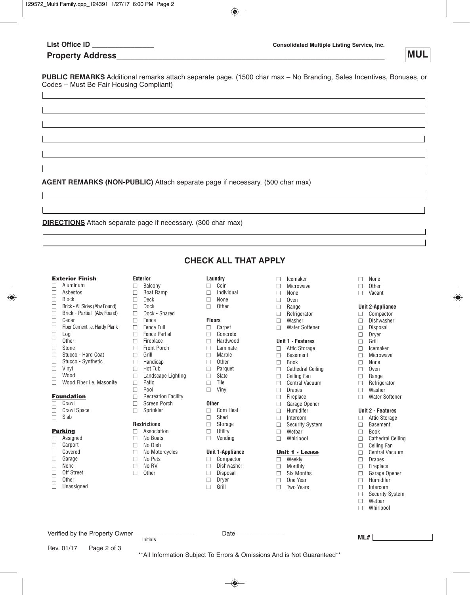# **Property Address\_\_\_\_\_\_\_\_\_\_\_\_\_\_\_\_\_\_\_\_\_\_\_\_\_\_\_\_\_\_\_\_\_\_\_\_\_\_\_\_\_\_\_\_\_\_\_\_\_\_\_\_\_\_\_\_\_\_ MUL**

**PUBLIC REMARKS** Additional remarks attach separate page. (1500 char max – No Branding, Sales Incentives, Bonuses, or Codes – Must Be Fair Housing Compliant)

**AGENT REMARKS (NON-PUBLIC)** Attach separate page if necessary. (500 char max)

**DIRECTIONS** Attach separate page if necessary. (300 char max)

# **Exterior Finish**

- **■** Aluminum
- **■** Asbestos
- **■** Block
- **■** Brick All Sides (Abv Found)
- **■** Brick Partial (Abv Found) **■** Cedar
- **■** Fiber Cement i.e. Hardy Plank
- **■** Log
- **■** Other
- Stone
- **■** Stucco Hard Coat
- Stucco Synthetic **■** Vinyl
- **■** Wood
- **■** Wood Fiber i.e. Masonite

# **Foundation**

# **■** Crawl

- **■** Crawl Space
- **■** Slab

# **Parking**

- **■** Assigned
- **■** Carport
- **■** Covered **■** Garage
- **■** None
- **■** Off Street
- **■** Other
- **■** Unassigned

Rev. 01/17 Page 2 of 3

# **Exterior**

- **■** Balcony **■** Boat Ramp
- **■** Deck
- **■** Dock
- **■** Dock Shared
- **■** Fence
- **■** Fence Full
- **■** Fence Partial
- **■** Fireplace
- Front Porch **■** Grill
- **Handicap**
- Hot Tub
- Landscape Lighting
- Patio
- **■** Pool
- **■** Recreation Facility
- **■** Screen Porch
- **■** Sprinkler

# **Restrictions**

- **■** Association **■** No Boats
- **■** No Dish
- **■** No Motorcycles
- **■** No Pets
- **■** No RV
- **■** Other
- 

Verified by the Property Owner\_\_\_\_\_\_\_\_\_\_\_\_\_\_\_\_\_\_ Date\_\_\_\_\_\_\_\_\_\_\_\_\_\_

**Laundry ■** Coin

**CHECK ALL THAT APPLY**

- **■** Individual
- **■** None
- **■** Other

# **Floors**

- **■** Carpet
- **■** Concrete
- **■** Hardwood
- **■** Laminate
- **■** Marble **■** Other
- **■** Parquet
- **■** Slate
- **■** Tile
- **■** Vinyl

### **Other**

- **■** Com Heat
- **■** Shed
- **■** Storage
- **■** Utility **■** Vending
- 

# **Unit 1-Appliance**

- **■** Compactor **■** Dishwasher
- **■** Disposal

Initials **ML#**

\*\*All Information Subject To Errors & Omissions And is Not Guaranteed\*\*

- **■** Dryer
- **■** Grill

## **■** Icemaker

**■** None **■** Other **■** Vacant

**Unit 2-Appliance ■** Compactor **■** Dishwasher **■** Disposal **■** Dryer **■** Grill **■** Icemaker **■** Microwave **■** None **■** Oven **■** Range **■** Refrigerator **■** Washer **■** Water Softener

**Unit 2 - Features ■** Attic Storage **■** Basement **■** Book

**■** Cathedral Ceiling **■** Ceiling Fan **■** Central Vacuum **■** Drapes **■** Fireplace **■** Garage Opener **■** Humidifer **■** Intercom **■** Security System **■** Wetbar **■** Whirlpool

- **■** Microwave
- **■** None
- **■** Oven
- **■** Range
- **■** Refrigerator
- **■** Washer
- **■** Water Softener

### **Unit 1 - Features**

**■** Attic Storage

- **■** Basement
- **■** Book
- **■** Cathedral Ceiling

**■** Garage Opener **■** Humidifer **■** Intercom **■** Security System **■** Wetbar **■** Whirlpool

**Unit 1 - Lease ■** Weekly **■** Monthly **■** Six Months **■** One Year **■** Two Years

- **■** Ceiling Fan
- **■** Central Vacuum **■** Drapes **■** Fireplace